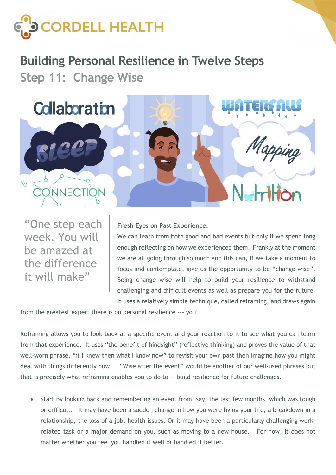

## Building Personal Resilience in Twelve Steps Step 11: Change Wise



"One step each week. You will be amazed at the difference it will make"

## Fresh Eyes on Past Experience.

We can learn from both good and bad events but only if we spend long enough reflecting on how we experienced them. Frankly at the moment we are all going through so much and this can, if we take a moment to focus and contemplate, give us the opportunity to be "change wise". Being change wise will help to build your resilience to withstand challenging and difficult events as well as prepare you for the future. It uses a relatively simple technique, called reframing, and draws again

from the greatest expert there is on personal resilience --- you!

Reframing allows you to look back at a specific event and your reaction to it to see what you can learn from that experience. It uses "the benefit of hindsight" (reflective thinking) and proves the value of that well-worn phrase, "if I knew then what I know now" to revisit your own past then imagine how you might deal with things differently now. "Wise after the event" would be another of our well-used phrases but that is precisely what reframing enables you to do to -- build resilience for future challenges.

• Start by looking back and remembering an event from, say, the last few months, which was tough or difficult. It may have been a sudden change in how you were living your life, a breakdown in a relationship, the loss of a job, health issues. Or it may have been a particularly challenging workrelated task or a major demand on you, such as moving to a new house. For now, it does not matter whether you feel you handled it well or handled it better.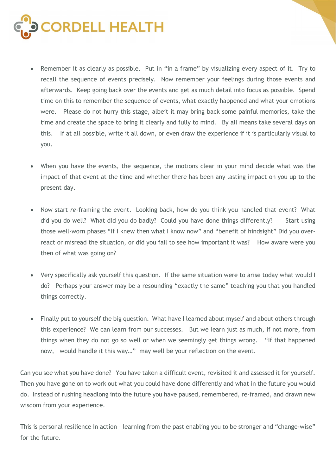

- Remember it as clearly as possible. Put in "in a frame" by visualizing every aspect of it. Try to recall the sequence of events precisely. Now remember your feelings during those events and afterwards. Keep going back over the events and get as much detail into focus as possible. Spend time on this to remember the sequence of events, what exactly happened and what your emotions were. Please do not hurry this stage, albeit it may bring back some painful memories, take the time and create the space to bring it clearly and fully to mind. By all means take several days on this. If at all possible, write it all down, or even draw the experience if it is particularly visual to you.
- When you have the events, the sequence, the motions clear in your mind decide what was the impact of that event at the time and whether there has been any lasting impact on you up to the present day.
- Now start re-framing the event. Looking back, how do you think you handled that event? What did you do well? What did you do badly? Could you have done things differently? Start using those well-worn phases "If I knew then what I know now" and "benefit of hindsight" Did you overreact or misread the situation, or did you fail to see how important it was? How aware were you then of what was going on?
- Very specifically ask yourself this question. If the same situation were to arise today what would I do? Perhaps your answer may be a resounding "exactly the same" teaching you that you handled things correctly.
- Finally put to yourself the big question. What have I learned about myself and about others through this experience? We can learn from our successes. But we learn just as much, if not more, from things when they do not go so well or when we seemingly get things wrong. "If that happened now, I would handle it this way…" may well be your reflection on the event.

Can you see what you have done? You have taken a difficult event, revisited it and assessed it for yourself. Then you have gone on to work out what you could have done differently and what in the future you would do. Instead of rushing headlong into the future you have paused, remembered, re-framed, and drawn new wisdom from your experience.

This is personal resilience in action – learning from the past enabling you to be stronger and "change-wise" for the future.